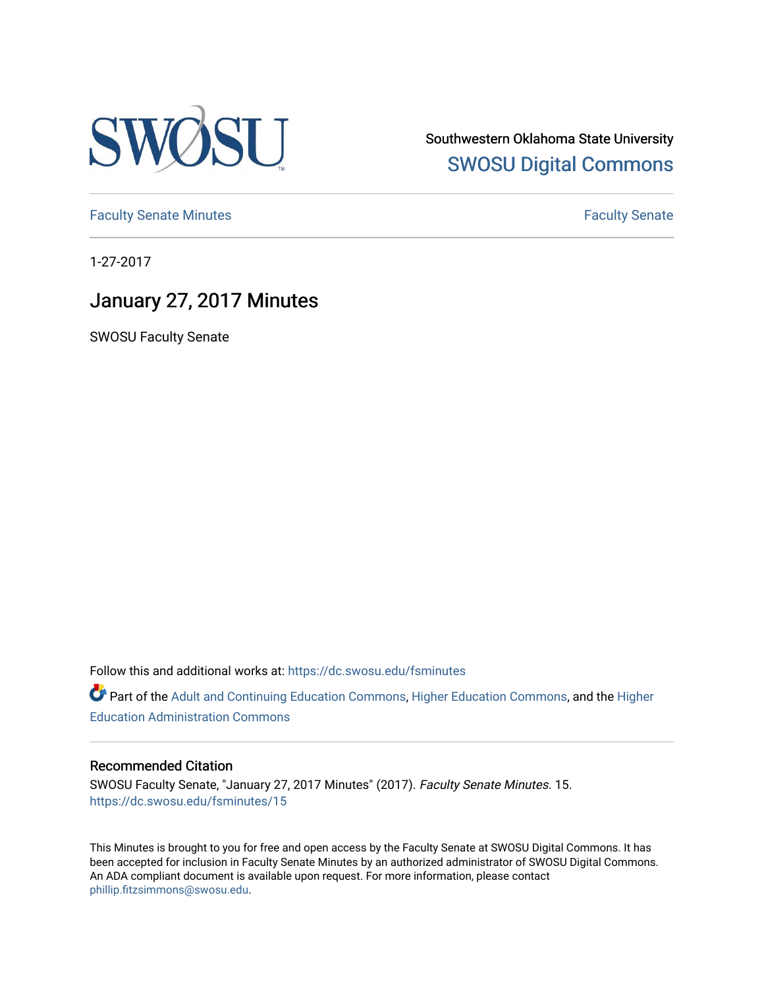

Southwestern Oklahoma State University [SWOSU Digital Commons](https://dc.swosu.edu/) 

[Faculty Senate Minutes](https://dc.swosu.edu/fsminutes) **Faculty** Senate Minutes

1-27-2017

# January 27, 2017 Minutes

SWOSU Faculty Senate

Follow this and additional works at: [https://dc.swosu.edu/fsminutes](https://dc.swosu.edu/fsminutes?utm_source=dc.swosu.edu%2Ffsminutes%2F15&utm_medium=PDF&utm_campaign=PDFCoverPages) 

Part of the [Adult and Continuing Education Commons,](http://network.bepress.com/hgg/discipline/1375?utm_source=dc.swosu.edu%2Ffsminutes%2F15&utm_medium=PDF&utm_campaign=PDFCoverPages) [Higher Education Commons,](http://network.bepress.com/hgg/discipline/1245?utm_source=dc.swosu.edu%2Ffsminutes%2F15&utm_medium=PDF&utm_campaign=PDFCoverPages) and the [Higher](http://network.bepress.com/hgg/discipline/791?utm_source=dc.swosu.edu%2Ffsminutes%2F15&utm_medium=PDF&utm_campaign=PDFCoverPages) [Education Administration Commons](http://network.bepress.com/hgg/discipline/791?utm_source=dc.swosu.edu%2Ffsminutes%2F15&utm_medium=PDF&utm_campaign=PDFCoverPages) 

#### Recommended Citation

SWOSU Faculty Senate, "January 27, 2017 Minutes" (2017). Faculty Senate Minutes. 15. [https://dc.swosu.edu/fsminutes/15](https://dc.swosu.edu/fsminutes/15?utm_source=dc.swosu.edu%2Ffsminutes%2F15&utm_medium=PDF&utm_campaign=PDFCoverPages) 

This Minutes is brought to you for free and open access by the Faculty Senate at SWOSU Digital Commons. It has been accepted for inclusion in Faculty Senate Minutes by an authorized administrator of SWOSU Digital Commons. An ADA compliant document is available upon request. For more information, please contact [phillip.fitzsimmons@swosu.edu](mailto:phillip.fitzsimmons@swosu.edu).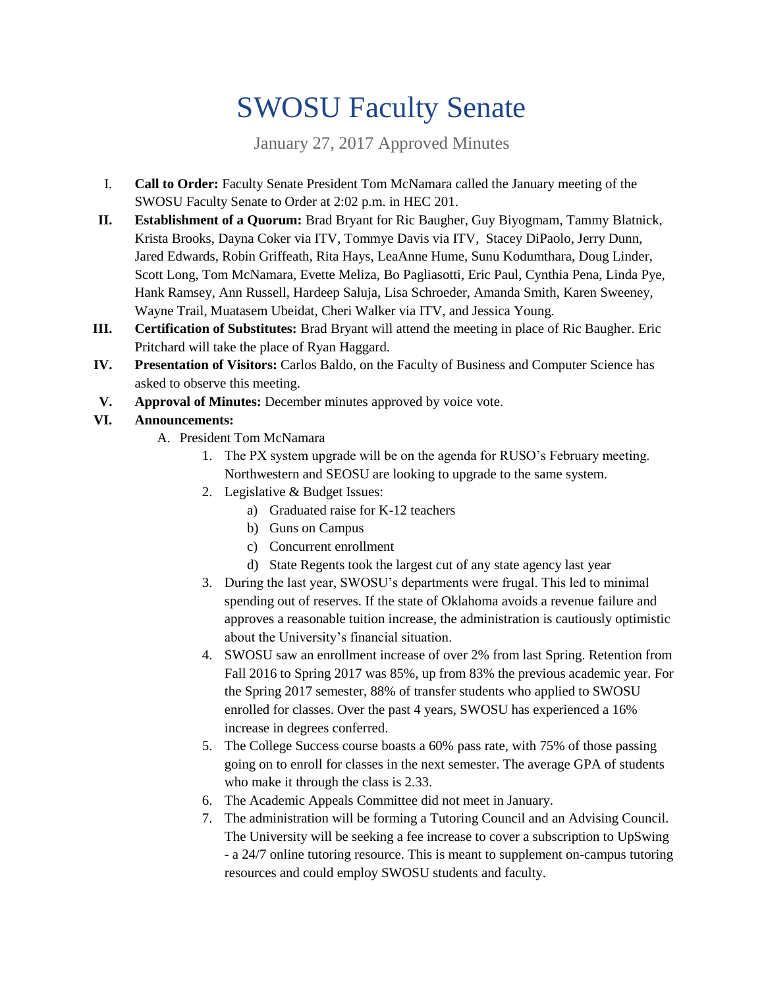# SWOSU Faculty Senate

January 27, 2017 Approved Minutes

- I. **Call to Order:** Faculty Senate President Tom McNamara called the January meeting of the SWOSU Faculty Senate to Order at 2:02 p.m. in HEC 201.
- **II. Establishment of a Quorum:** Brad Bryant for Ric Baugher, Guy Biyogmam, Tammy Blatnick, Krista Brooks, Dayna Coker via ITV, Tommye Davis via ITV, Stacey DiPaolo, Jerry Dunn, Jared Edwards, Robin Griffeath, Rita Hays, LeaAnne Hume, Sunu Kodumthara, Doug Linder, Scott Long, Tom McNamara, Evette Meliza, Bo Pagliasotti, Eric Paul, Cynthia Pena, Linda Pye, Hank Ramsey, Ann Russell, Hardeep Saluja, Lisa Schroeder, Amanda Smith, Karen Sweeney, Wayne Trail, Muatasem Ubeidat, Cheri Walker via ITV, and Jessica Young.
- **III. Certification of Substitutes:** Brad Bryant will attend the meeting in place of Ric Baugher. Eric Pritchard will take the place of Ryan Haggard.
- **IV. Presentation of Visitors:** Carlos Baldo, on the Faculty of Business and Computer Science has asked to observe this meeting.
- **V. Approval of Minutes:** December minutes approved by voice vote.

### **VI. Announcements:**

- A. President Tom McNamara
	- 1. The PX system upgrade will be on the agenda for RUSO's February meeting. Northwestern and SEOSU are looking to upgrade to the same system.
	- 2. Legislative & Budget Issues:
		- a) Graduated raise for K-12 teachers
		- b) Guns on Campus
		- c) Concurrent enrollment
		- d) State Regents took the largest cut of any state agency last year
	- 3. During the last year, SWOSU's departments were frugal. This led to minimal spending out of reserves. If the state of Oklahoma avoids a revenue failure and approves a reasonable tuition increase, the administration is cautiously optimistic about the University's financial situation.
	- 4. SWOSU saw an enrollment increase of over 2% from last Spring. Retention from Fall 2016 to Spring 2017 was 85%, up from 83% the previous academic year. For the Spring 2017 semester, 88% of transfer students who applied to SWOSU enrolled for classes. Over the past 4 years, SWOSU has experienced a 16% increase in degrees conferred.
	- 5. The College Success course boasts a 60% pass rate, with 75% of those passing going on to enroll for classes in the next semester. The average GPA of students who make it through the class is 2.33.
	- 6. The Academic Appeals Committee did not meet in January.
	- 7. The administration will be forming a Tutoring Council and an Advising Council. The University will be seeking a fee increase to cover a subscription to UpSwing - a 24/7 online tutoring resource. This is meant to supplement on-campus tutoring resources and could employ SWOSU students and faculty.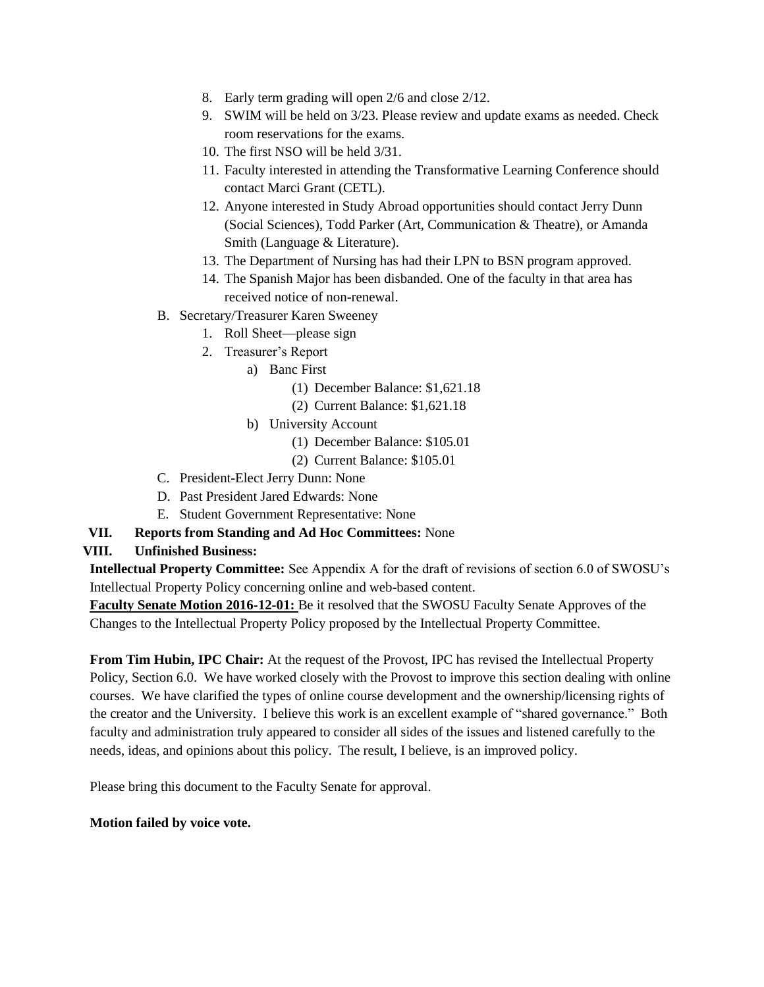- 8. Early term grading will open 2/6 and close 2/12.
- 9. SWIM will be held on 3/23. Please review and update exams as needed. Check room reservations for the exams.
- 10. The first NSO will be held 3/31.
- 11. Faculty interested in attending the Transformative Learning Conference should contact Marci Grant (CETL).
- 12. Anyone interested in Study Abroad opportunities should contact Jerry Dunn (Social Sciences), Todd Parker (Art, Communication & Theatre), or Amanda Smith (Language & Literature).
- 13. The Department of Nursing has had their LPN to BSN program approved.
- 14. The Spanish Major has been disbanded. One of the faculty in that area has received notice of non-renewal.
- B. Secretary/Treasurer Karen Sweeney
	- 1. Roll Sheet—please sign
	- 2. Treasurer's Report
		- a) Banc First
			- (1) December Balance: \$1,621.18
			- (2) Current Balance: \$1,621.18
		- b) University Account
			- (1) December Balance: \$105.01
			- (2) Current Balance: \$105.01
- C. President-Elect Jerry Dunn: None
- D. Past President Jared Edwards: None
- E. Student Government Representative: None
- **VII. Reports from Standing and Ad Hoc Committees:** None

#### **VIII. Unfinished Business:**

**Intellectual Property Committee:** See Appendix A for the draft of revisions of section 6.0 of SWOSU's Intellectual Property Policy concerning online and web-based content.

**Faculty Senate Motion 2016-12-01:** Be it resolved that the SWOSU Faculty Senate Approves of the Changes to the Intellectual Property Policy proposed by the Intellectual Property Committee.

**From Tim Hubin, IPC Chair:** At the request of the Provost, IPC has revised the Intellectual Property Policy, Section 6.0. We have worked closely with the Provost to improve this section dealing with online courses. We have clarified the types of online course development and the ownership/licensing rights of the creator and the University. I believe this work is an excellent example of "shared governance." Both faculty and administration truly appeared to consider all sides of the issues and listened carefully to the needs, ideas, and opinions about this policy. The result, I believe, is an improved policy.

Please bring this document to the Faculty Senate for approval.

#### **Motion failed by voice vote.**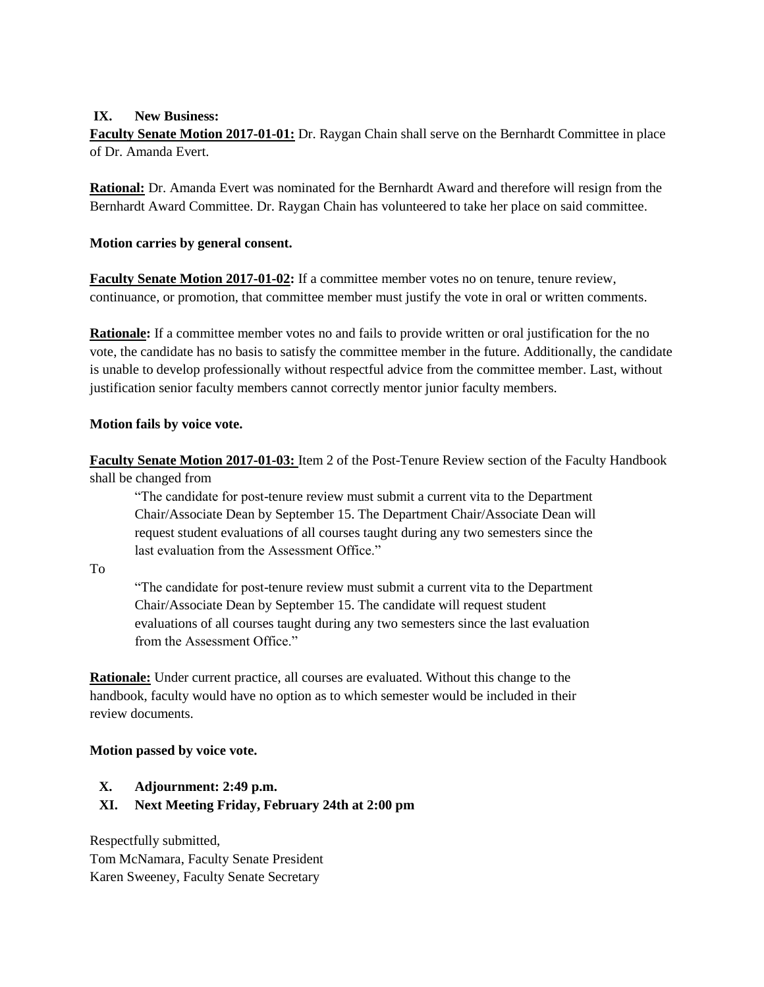#### **IX. New Business:**

**Faculty Senate Motion 2017-01-01:** Dr. Raygan Chain shall serve on the Bernhardt Committee in place of Dr. Amanda Evert.

**Rational:** Dr. Amanda Evert was nominated for the Bernhardt Award and therefore will resign from the Bernhardt Award Committee. Dr. Raygan Chain has volunteered to take her place on said committee.

#### **Motion carries by general consent.**

**Faculty Senate Motion 2017-01-02:** If a committee member votes no on tenure, tenure review, continuance, or promotion, that committee member must justify the vote in oral or written comments.

**Rationale:** If a committee member votes no and fails to provide written or oral justification for the no vote, the candidate has no basis to satisfy the committee member in the future. Additionally, the candidate is unable to develop professionally without respectful advice from the committee member. Last, without justification senior faculty members cannot correctly mentor junior faculty members.

#### **Motion fails by voice vote.**

**Faculty Senate Motion 2017-01-03:** Item 2 of the Post-Tenure Review section of the Faculty Handbook shall be changed from

"The candidate for post-tenure review must submit a current vita to the Department Chair/Associate Dean by September 15. The Department Chair/Associate Dean will request student evaluations of all courses taught during any two semesters since the last evaluation from the Assessment Office."

To

"The candidate for post-tenure review must submit a current vita to the Department Chair/Associate Dean by September 15. The candidate will request student evaluations of all courses taught during any two semesters since the last evaluation from the Assessment Office."

**Rationale:** Under current practice, all courses are evaluated. Without this change to the handbook, faculty would have no option as to which semester would be included in their review documents.

#### **Motion passed by voice vote.**

- **X. Adjournment: 2:49 p.m.**
- **XI. Next Meeting Friday, February 24th at 2:00 pm**

Respectfully submitted, Tom McNamara, Faculty Senate President Karen Sweeney, Faculty Senate Secretary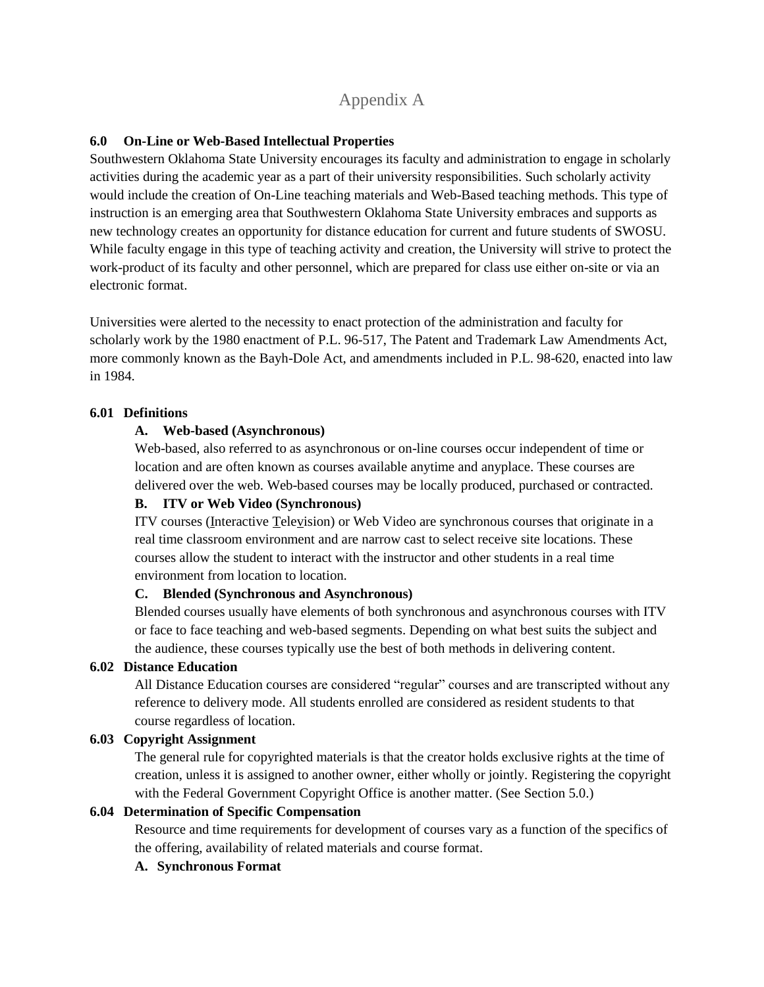## Appendix A

#### **6.0 On-Line or Web-Based Intellectual Properties**

Southwestern Oklahoma State University encourages its faculty and administration to engage in scholarly activities during the academic year as a part of their university responsibilities. Such scholarly activity would include the creation of On-Line teaching materials and Web-Based teaching methods. This type of instruction is an emerging area that Southwestern Oklahoma State University embraces and supports as new technology creates an opportunity for distance education for current and future students of SWOSU. While faculty engage in this type of teaching activity and creation, the University will strive to protect the work-product of its faculty and other personnel, which are prepared for class use either on-site or via an electronic format.

Universities were alerted to the necessity to enact protection of the administration and faculty for scholarly work by the 1980 enactment of P.L. 96-517, The Patent and Trademark Law Amendments Act, more commonly known as the Bayh-Dole Act, and amendments included in P.L. 98-620, enacted into law in 1984.

#### **6.01 Definitions**

#### **A. Web-based (Asynchronous)**

Web-based, also referred to as asynchronous or on-line courses occur independent of time or location and are often known as courses available anytime and anyplace. These courses are delivered over the web. Web-based courses may be locally produced, purchased or contracted.

#### **B. ITV or Web Video (Synchronous)**

ITV courses (Interactive Television) or Web Video are synchronous courses that originate in a real time classroom environment and are narrow cast to select receive site locations. These courses allow the student to interact with the instructor and other students in a real time environment from location to location.

#### **C. Blended (Synchronous and Asynchronous)**

Blended courses usually have elements of both synchronous and asynchronous courses with ITV or face to face teaching and web-based segments. Depending on what best suits the subject and the audience, these courses typically use the best of both methods in delivering content.

#### **6.02 Distance Education**

All Distance Education courses are considered "regular" courses and are transcripted without any reference to delivery mode. All students enrolled are considered as resident students to that course regardless of location.

#### **6.03 Copyright Assignment**

The general rule for copyrighted materials is that the creator holds exclusive rights at the time of creation, unless it is assigned to another owner, either wholly or jointly. Registering the copyright with the Federal Government Copyright Office is another matter. (See Section 5.0.)

#### **6.04 Determination of Specific Compensation**

Resource and time requirements for development of courses vary as a function of the specifics of the offering, availability of related materials and course format.

#### **A. Synchronous Format**